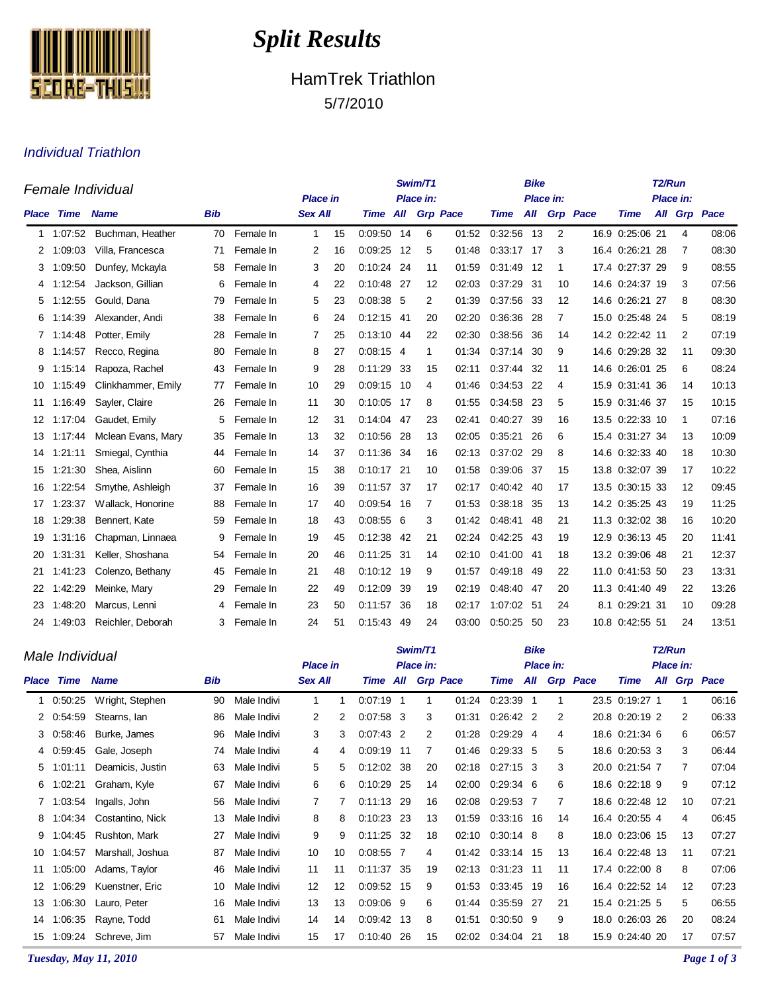

# *Split Results*

## HamTrek Triathlon 5/7/2010

#### Individual Triathlon

| Female Individual |                   |                    |            |           |                 | Swim/T1<br>Place in: |                   |      |    |       |            |           | <b>Bike</b><br>Place in: |              | T <sub>2</sub> /Run |  |    |              |  |
|-------------------|-------------------|--------------------|------------|-----------|-----------------|----------------------|-------------------|------|----|-------|------------|-----------|--------------------------|--------------|---------------------|--|----|--------------|--|
|                   |                   |                    |            |           | <b>Place in</b> |                      |                   |      |    |       |            | Place in: |                          |              |                     |  |    |              |  |
|                   | <b>Place Time</b> | <b>Name</b>        | <b>Bib</b> |           | <b>Sex All</b>  |                      | Time All Grp Pace |      |    |       | Time       |           |                          | All Grp Pace | <b>Time</b>         |  |    | All Grp Pace |  |
| 1                 | 1:07:52           | Buchman, Heather   | 70         | Female In | 1               | 15                   | 0:09:50 14        |      | 6  | 01:52 | 0:32:56    | 13        | 2                        |              | 16.9 0:25:06 21     |  | 4  | 08:06        |  |
| 2                 | 1:09:03           | Villa, Francesca   | 71         | Female In | 2               | 16                   | 0:09:25           | 12   | 5  | 01:48 | 0:33:17    | 17        | 3                        |              | 16.4 0:26:21 28     |  | 7  | 08:30        |  |
| 3                 | 1:09:50           | Dunfey, Mckayla    | 58         | Female In | 3               | 20                   | 0:10:24           | 24   | 11 | 01:59 | 0:31:49    | 12        | 1                        | 17.4         | 0:27:37 29          |  | 9  | 08:55        |  |
| 4                 | 1:12:54           | Jackson, Gillian   | 6          | Female In | 4               | 22                   | 0:10:48 27        |      | 12 | 02:03 | 0:37:29 31 |           | 10                       |              | 14.6 0:24:37 19     |  | 3  | 07:56        |  |
| 5                 | 1:12:55           | Gould, Dana        | 79         | Female In | 5               | 23                   | $0.08:38$ 5       |      | 2  | 01:39 | 0:37:56    | - 33      | $12 \overline{ }$        |              | 14.6 0:26:21 27     |  | 8  | 08:30        |  |
| 6                 | 1:14:39           | Alexander, Andi    | 38         | Female In | 6               | 24                   | $0:12:15$ 41      |      | 20 | 02:20 | 0:36:36    | -28       | 7                        |              | 15.0 0:25:48 24     |  | 5  | 08:19        |  |
|                   | 1:14:48           | Potter, Emily      | 28         | Female In | 7               | 25                   | 0:13:10           | 44   | 22 | 02:30 | 0:38:56    | 36        | 14                       |              | 14.2 0:22:42 11     |  | 2  | 07:19        |  |
| 8                 | 1:14:57           | Recco, Regina      | 80         | Female In | 8               | 27                   | $0:08:15$ 4       |      | 1  | 01:34 | 0:37:14    | 30        | 9                        |              | 14.6 0:29:28 32     |  | 11 | 09:30        |  |
| 9                 | 1:15:14           | Rapoza, Rachel     | 43         | Female In | 9               | 28                   | 0:11:29           | -33  | 15 | 02:11 | 0:37:44 32 |           | 11                       |              | 14.6 0:26:01 25     |  | 6  | 08:24        |  |
| 10                | 1:15:49           | Clinkhammer, Emily | 77         | Female In | 10              | 29                   | 0:09:15 10        |      | 4  | 01:46 | 0:34:53 22 |           | 4                        |              | 15.9 0:31:41 36     |  | 14 | 10:13        |  |
| 11                | 1:16:49           | Sayler, Claire     | 26         | Female In | 11              | 30                   | 0:10:05           | 17   | 8  | 01:55 | 0:34:58    | -23       | 5                        |              | 15.9 0:31:46 37     |  | 15 | 10:15        |  |
| 12                | 1:17:04           | Gaudet, Emily      | 5          | Female In | 12              | 31                   | 0:14:04           | 47   | 23 | 02:41 | 0:40:27    | 39        | 16                       |              | 13.5 0:22:33 10     |  | 1  | 07:16        |  |
| 13                | 1:17:44           | Mclean Evans, Mary | 35         | Female In | 13              | 32                   | 0:10:56           | -28  | 13 | 02:05 | 0:35:21    | 26        | 6                        |              | 15.4 0:31:27 34     |  | 13 | 10:09        |  |
| 14                | 1:21:11           | Smiegal, Cynthia   | 44         | Female In | 14              | 37                   | 0:11:36           | -34  | 16 | 02:13 | 0:37:02    | - 29      | 8                        |              | 14.6 0:32:33 40     |  | 18 | 10:30        |  |
| 15                | 1:21:30           | Shea, Aislinn      | 60         | Female In | 15              | 38                   | 0:10:17 21        |      | 10 | 01:58 | 0:39:06 37 |           | 15                       |              | 13.8 0:32:07 39     |  | 17 | 10:22        |  |
| 16                | 1:22:54           | Smythe, Ashleigh   | 37         | Female In | 16              | 39                   | 0:11:57 37        |      | 17 | 02:17 | 0:40:42 40 |           | 17                       |              | 13.5 0:30:15 33     |  | 12 | 09:45        |  |
| 17                | 1:23:37           | Wallack, Honorine  | 88         | Female In | 17              | 40                   | 0:09:54           | - 16 | 7  | 01:53 | 0:38:18    | -35       | 13                       |              | 14.2 0:35:25 43     |  | 19 | 11:25        |  |
| 18                | 1:29:38           | Bennert, Kate      | 59         | Female In | 18              | 43                   | 0:08:55           | - 6  | 3  | 01:42 | 0:48:41    | 48        | 21                       |              | 11.3 0:32:02 38     |  | 16 | 10:20        |  |
| 19                | 1:31:16           | Chapman, Linnaea   | 9          | Female In | 19              | 45                   | 0:12:38           | -42  | 21 | 02:24 | 0:42:25    | 43        | 19                       |              | 12.9 0:36:13 45     |  | 20 | 11:41        |  |
| 20                | 1:31:31           | Keller, Shoshana   | 54         | Female In | 20              | 46                   | $0:11:25$ 31      |      | 14 | 02:10 | 0:41:00    | -41       | 18                       |              | 13.2 0:39:06 48     |  | 21 | 12:37        |  |
| 21                | 1:41:23           | Colenzo, Bethany   | 45         | Female In | 21              | 48                   | $0:10:12$ 19      |      | 9  | 01:57 | 0.49.18    | 49        | 22                       |              | 11.0 0:41:53 50     |  | 23 | 13:31        |  |
| 22                | 1:42:29           | Meinke, Mary       | 29         | Female In | 22              | 49                   | 0:12:09           | 39   | 19 | 02:19 | 0:48:40    | -47       | 20                       |              | 11.3 0:41:40 49     |  | 22 | 13:26        |  |
| 23                | 1:48:20           | Marcus, Lenni      | 4          | Female In | 23              | 50                   | 0:11:57           | -36  | 18 | 02:17 | 1:07:02    | -51       | 24                       |              | 8.1 0:29:21 31      |  | 10 | 09:28        |  |
| 24                | 1.49.03           | Reichler, Deborah  | 3          | Female In | 24              | 51                   | 0:15:43           | -49  | 24 | 03:00 | 0:50:25    | 50        | 23                       |              | 10.8 0:42:55 51     |  | 24 | 13:51        |  |

|       | Male Individual |                  |     |             |                 |                |              | Swim/T1 |           | <b>Bike</b>     |             | T2/Run |           |                 |                 |     |               |       |  |
|-------|-----------------|------------------|-----|-------------|-----------------|----------------|--------------|---------|-----------|-----------------|-------------|--------|-----------|-----------------|-----------------|-----|---------------|-------|--|
|       |                 |                  |     |             | <b>Place in</b> |                |              |         | Place in: |                 |             |        | Place in: |                 | Place in:       |     |               |       |  |
| Place | Time            | <b>Name</b>      | Bib |             | <b>Sex All</b>  |                | Time         | All     |           | <b>Grp Pace</b> | Time        | All    |           | <b>Grp</b> Pace | <b>Time</b>     | All | Grp           | Pace  |  |
|       | 0.50.25         | Wright, Stephen  | 90  | Male Indivi | $\mathbf{1}$    | 1              | $0:07:19$ 1  |         | 1         | 01:24           | 0:23:39     | -1     |           |                 | 23.5 0:19:27 1  |     |               | 06:16 |  |
|       | 2 0:54:59       | Stearns, Ian     | 86  | Male Indivi | 2               | $\overline{2}$ | $0:07:58$ 3  |         | 3         | 01:31           | $0.26.42$ 2 |        | 2         |                 | 20.8 0:20:19 2  |     | $\mathcal{P}$ | 06:33 |  |
|       | 3 0:58:46       | Burke, James     | 96  | Male Indivi | 3               | 3              | $0:07:43$ 2  |         | 2         | 01:28           | $0:29:29$ 4 |        | 4         |                 | 18.6 0:21:34 6  |     | 6             | 06:57 |  |
|       | 4 0:59:45       | Gale, Joseph     | 74  | Male Indivi | 4               | 4              | 0:09:19 11   |         | 7         | 01:46           | $0.29.33$ 5 |        | 5         |                 | 18.6 0:20:53 3  |     | 3             | 06:44 |  |
| 5     | 1:01:11         | Deamicis, Justin | 63  | Male Indivi | 5               | 5              | $0:12:02$ 38 |         | 20        | 02:18           | $0.27:15$ 3 |        | 3         |                 | 20.0 0:21:54 7  |     | 7             | 07:04 |  |
| 6     | 1:02:21         | Graham, Kyle     | 67  | Male Indivi | 6               | 6              | $0:10:29$ 25 |         | 14        | 02:00           | $0.29.34$ 6 |        | 6         |                 | 18.6 0:22:18 9  |     | 9             | 07:12 |  |
|       | 7 1:03:54       | Ingalls, John    | 56  | Male Indivi | 7               | 7              | 0:11:13 29   |         | 16        | 02:08           | 0.29.53     | 7      | 7         |                 | 18.6 0:22:48 12 |     | 10            | 07:21 |  |
| 8     | 1:04:34         | Costantino, Nick | 13  | Male Indivi | 8               | 8              | $0:10:23$ 23 |         | 13        | 01:59           | 0:33:16     | -16    | 14        |                 | 16.4 0:20:55 4  |     | 4             | 06:45 |  |
| 9     | 1:04:45         | Rushton, Mark    | 27  | Male Indivi | 9               | 9              | $0:11:25$ 32 |         | 18        | 02:10           | $0:30:14$ 8 |        | 8         |                 | 18.0 0:23:06 15 |     | 13            | 07:27 |  |
| 10    | 1:04:57         | Marshall, Joshua | 87  | Male Indivi | 10              | 10             | $0:08:55$ 7  |         | 4         | 01:42           | 0:33:14     | -15    | 13        |                 | 16.4 0:22:48 13 |     | 11            | 07:21 |  |
| 11    | 1:05:00         | Adams, Taylor    | 46  | Male Indivi | 11              | 11             | 0:11:37 35   |         | 19        | 02:13           | 0:31:23 11  |        | 11        |                 | 17.4 0:22:00 8  |     | 8             | 07:06 |  |
| 12    | 1:06:29         | Kuenstner, Eric  | 10  | Male Indivi | 12              | 12             | 0:09:52 15   |         | 9         | 01:53           | 0:33:45     | -19    | 16        |                 | 16.4 0:22:52 14 |     | 12            | 07:23 |  |
| 13    | 1:06:30         | Lauro, Peter     | 16  | Male Indivi | 13              | 13             | $0.09.06$ 9  |         | 6         | 01:44           | 0:35:59     | 27     | 21        |                 | 15.4 0:21:25 5  |     | 5             | 06:55 |  |
| 14    | 1:06:35         | Rayne, Todd      | 61  | Male Indivi | 14              | 14             | 0:09:42 13   |         | 8         | 01:51           | $0.30.50$ 9 |        | 9         |                 | 18.0 0:26:03 26 |     | 20            | 08:24 |  |
| 15    | 1:09:24         | Schreve, Jim     | 57  | Male Indivi | 15              | 17             | 0:10:40      | -26     | 15        | 02:02           | 0:34:04     | -21    | 18        |                 | 15.9 0:24:40 20 |     | 17            | 07:57 |  |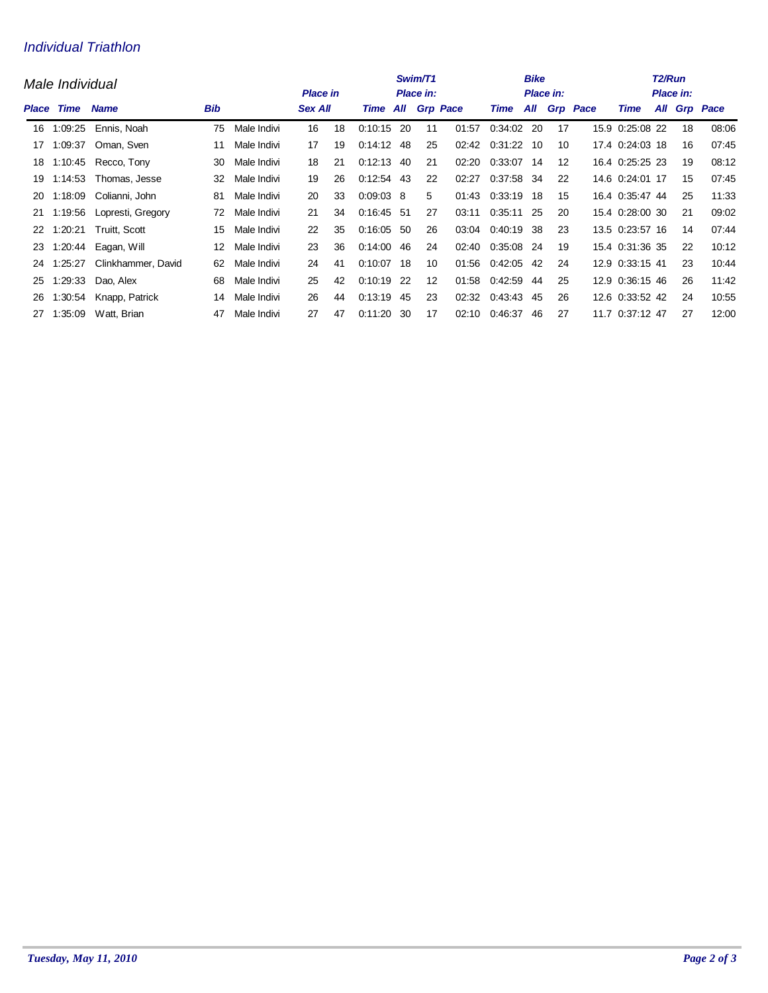#### Individual Triathlon

|       | Male Individual                   |                       | Swim/T1<br><b>Place in</b><br>Place in: |                |    |          |              |                 |    | <b>Bike</b><br><b>Place in:</b> |               | T <sub>2</sub> /Run<br>Place in: |              |      |                 |  |              |       |
|-------|-----------------------------------|-----------------------|-----------------------------------------|----------------|----|----------|--------------|-----------------|----|---------------------------------|---------------|----------------------------------|--------------|------|-----------------|--|--------------|-------|
| Place | <b>Bib</b><br>Time<br><b>Name</b> |                       |                                         | <b>Sex All</b> |    | Time All |              | <b>Grp Pace</b> |    | Time                            |               |                                  | All Grp Pace | Time |                 |  | All Grp Pace |       |
| 16    | 1:09:25                           | Ennis, Noah           | 75                                      | Male Indivi    | 16 | 18       | $0:10:15$ 20 |                 | 11 | 01:57                           | 0:34:02       | 20                               | 17           |      | 15.9 0:25:08 22 |  | 18           | 08:06 |
| 17    | 1:09:37                           | Oman, Sven            | 11                                      | Male Indivi    | 17 | 19       | 0:14:12      | 48              | 25 | 02:42                           | 0:31:22       | 10                               | 10           |      | 17.4 0:24:03 18 |  | 16           | 07:45 |
| 18    | 1:10:45                           | Recco, Tony           | 30                                      | Male Indivi    | 18 | 21       | $0:12:13$ 40 |                 | 21 | 02:20                           | 0:33:07 14    |                                  | 12           |      | 16.4 0:25:25 23 |  | 19           | 08:12 |
| 19    | 1:14:53                           | Thomas, Jesse         | 32                                      | Male Indivi    | 19 | 26       | $0:12:54$ 43 |                 | 22 | 02:27                           | 0:37:58       | 34                               | 22           |      | 14.6 0:24:01 17 |  | 15           | 07:45 |
| 20    | 1:18:09                           | Colianni, John        | 81                                      | Male Indivi    | 20 | 33       | $0:09:03$ 8  |                 | 5  | 01:43                           | 0:33:19       | 18                               | 15           |      | 16.4 0:35:47 44 |  | 25           | 11:33 |
| 21    | 1:19:56                           | Lopresti, Gregory     | 72                                      | Male Indivi    | 21 | 34       | $0:16:45$ 51 |                 | 27 | 03:11                           | 0:35:11       | 25                               | 20           |      | 15.4 0:28:00 30 |  | 21           | 09:02 |
| 22    |                                   | 1:20:21 Truitt, Scott | 15                                      | Male Indivi    | 22 | 35       | $0:16:05$ 50 |                 | 26 | 03:04                           | 0:40:19       | 38                               | 23           |      | 13.5 0:23:57 16 |  | 14           | 07:44 |
| 23    | 1:20:44                           | Eagan, Will           | 12                                      | Male Indivi    | 23 | 36       | 0.14:00      | -46             | 24 | 02:40                           | 0:35:08       | 24                               | 19           |      | 15.4 0:31:36 35 |  | 22           | 10:12 |
| 24    | 1:25:27                           | Clinkhammer, David    | 62                                      | Male Indivi    | 24 | 41       | $0:10:07$ 18 |                 | 10 |                                 | 01:56 0:42:05 | 42                               | 24           |      | 12.9 0:33:15 41 |  | 23           | 10:44 |
| 25    | 1:29:33                           | Dao, Alex             | 68                                      | Male Indivi    | 25 | 42       | $0:10:19$ 22 |                 | 12 | 01:58                           | 0:42:59       | 44                               | 25           |      | 12.9 0:36:15 46 |  | 26           | 11:42 |
| 26    | 1:30:54                           | Knapp, Patrick        | 14                                      | Male Indivi    | 26 | 44       | $0:13:19$ 45 |                 | 23 | 02:32                           | 0:43:43 45    |                                  | 26           |      | 12.6 0:33:52 42 |  | 24           | 10:55 |
| 27    | 1:35:09                           | Watt, Brian           | 47                                      | Male Indivi    | 27 | 47       | 0:11:20      | -30             | 17 | 02:10                           | 0:46:37       | 46                               | 27           |      | 11.7 0:37:12 47 |  | 27           | 12:00 |